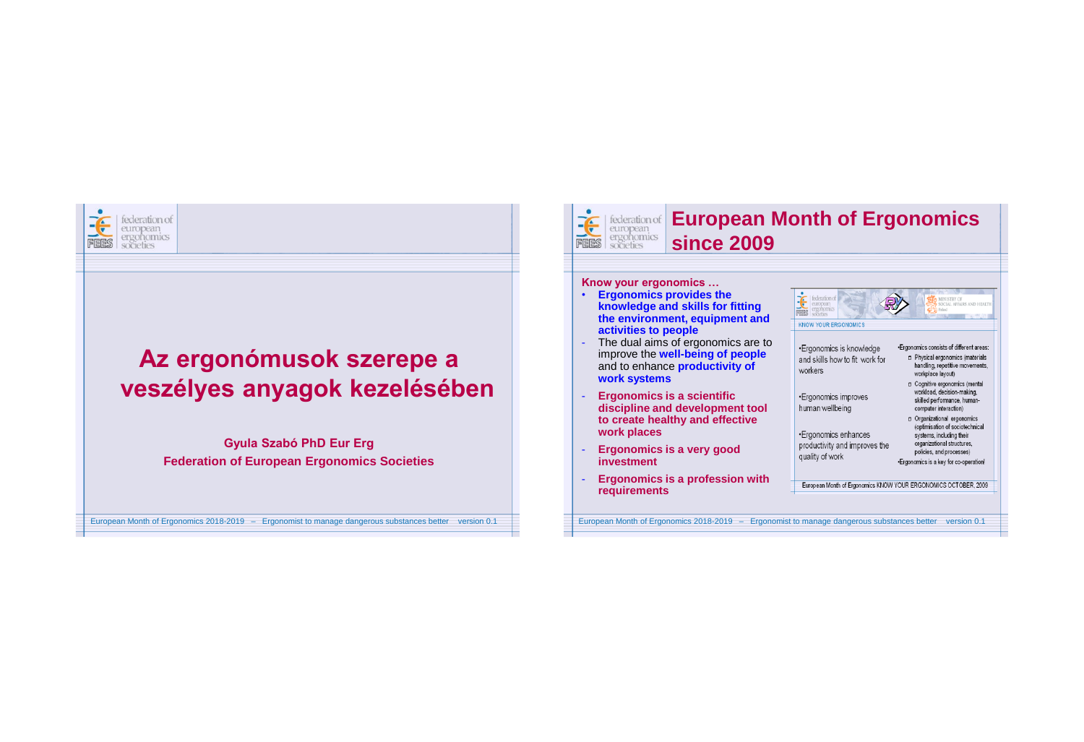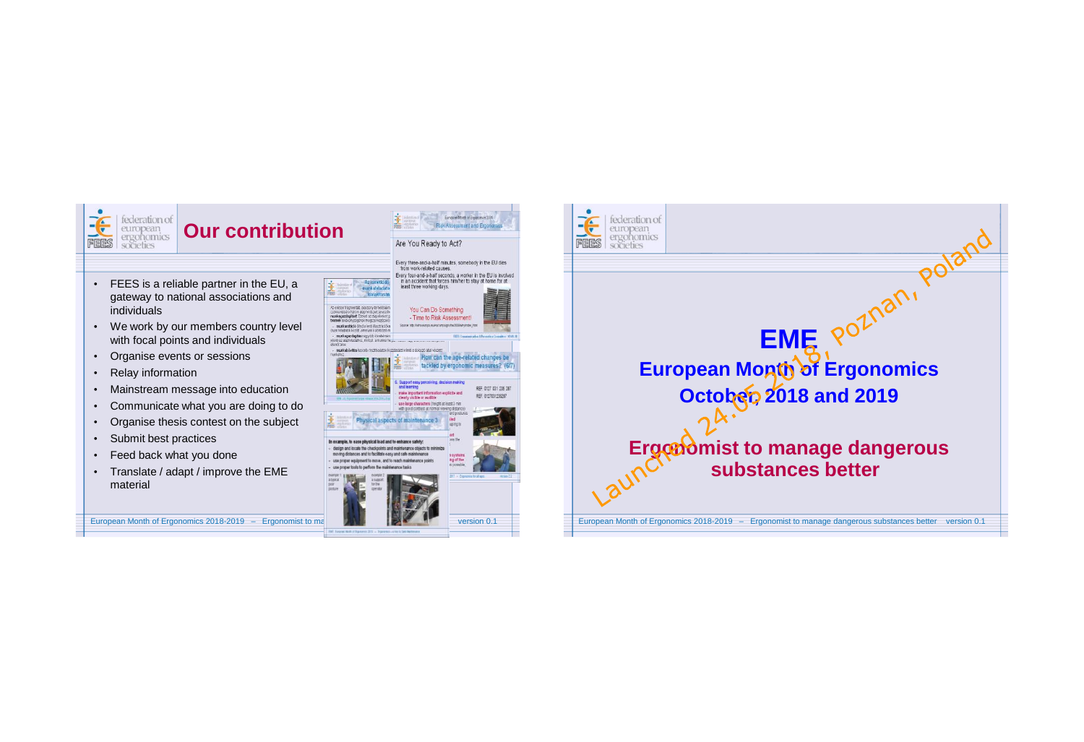

REF. 0127 031 235 26 REF. 0127031235287

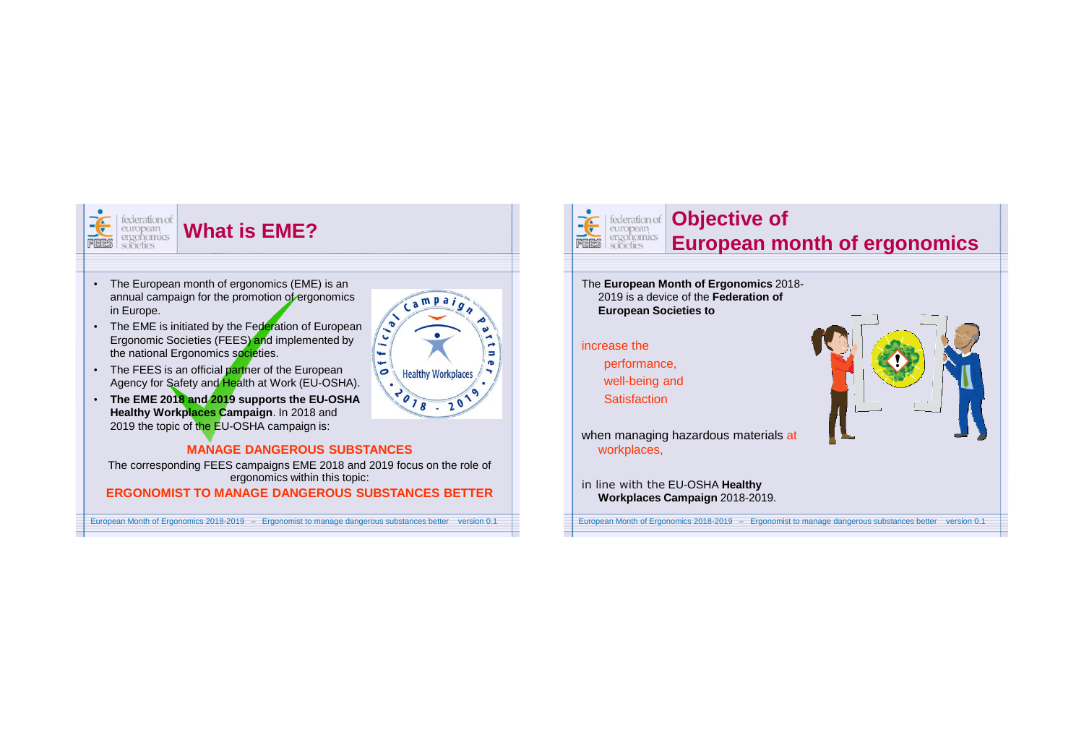

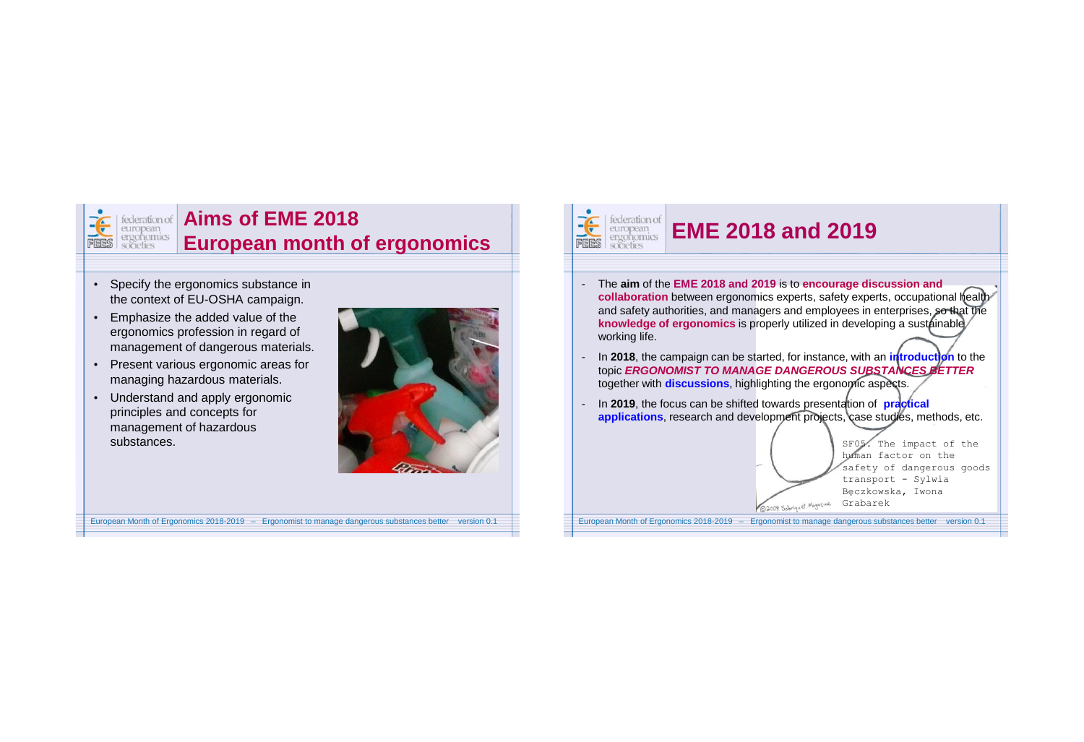

#### **Exteration of Aims of FMF 2018 European month of ergonomics**

- Specify the ergonomics substance in the context of EU-OSHA campaign.
- Emphasize the added value of the ergonomics profession in regard of management of dangerous materials.
- Present various ergonomic areas for managing hazardous materials.
- Understand and apply ergonomic principles and concepts for management of hazardous substances.



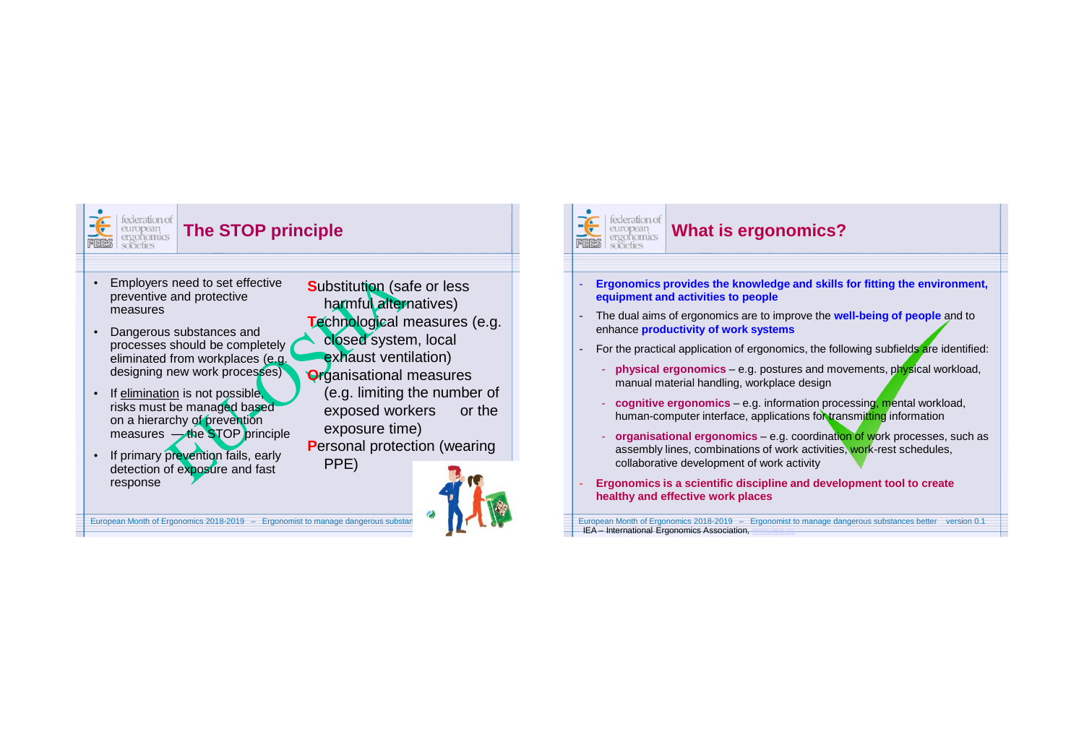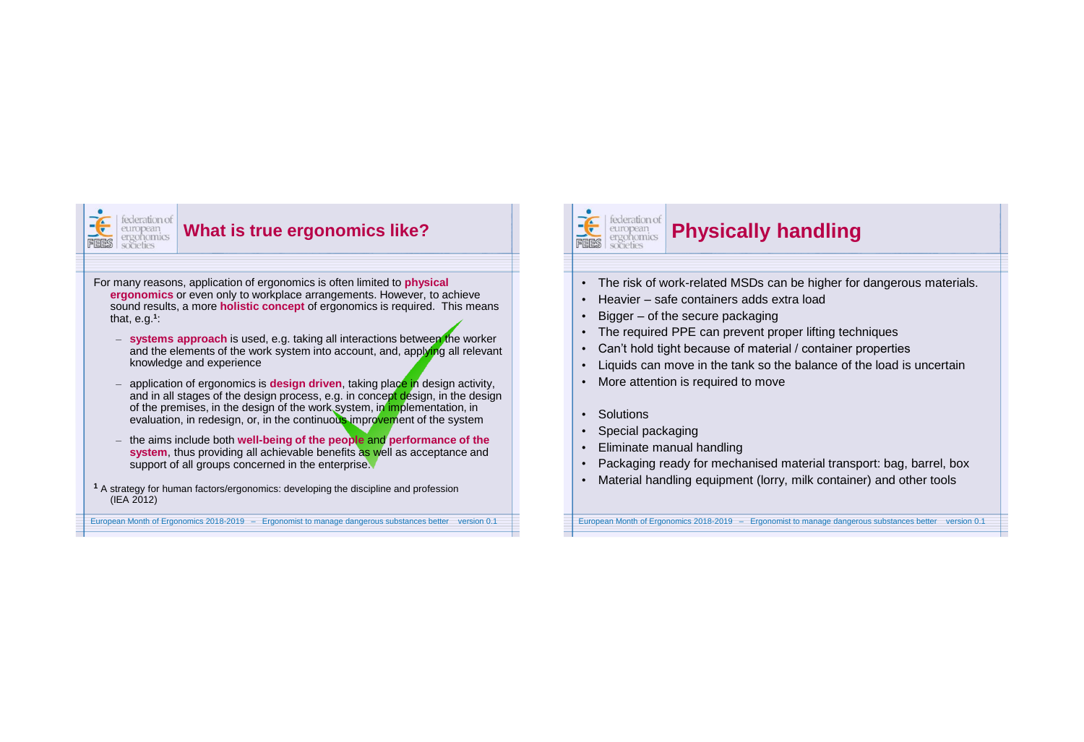

#### **What is true ergonomics like?**

 For many reasons, application of ergonomics is often limited to **physical ergonomics** or even only to workplace arrangements. However, to achieve sound results, a more **holistic concept** of ergonomics is required. This means that, e.g.**<sup>1</sup>** :

- **systems approach** is used, e.g. taking all interactions between the worker and the elements of the work system into account, and, applying all relevant knowledge and experience
- application of ergonomics is **design driven**, taking place in design activity, and in all stages of the design process, e.g. in concept design, in the design of the premises, in the design of the work system, in implementation, in evaluation, in redesign, or, in the continuous improvement of the system
- the aims include both **well-being of the people** and **performance of the system**, thus providing all achievable benefits as well as acceptance and support of all groups concerned in the enterprise.
- **<sup>1</sup>** A strategy for human factors/ergonomics: developing the discipline and profession (IEA 2012)

#### European Month of Ergonomics 2018-2019 – Ergonomist to manage dangerous substances better version 0.1

#### 追 federation of european<br>ergonomics FEES societies

### **Physically handling**

- The risk of work-related MSDs can be higher for dangerous materials.
- Heavier safe containers adds extra load
- Bigger of the secure packaging
- The required PPE can prevent proper lifting techniques
- Can't hold tight because of material / container properties
- Liquids can move in the tank so the balance of the load is uncertain
- More attention is required to move
- Solutions
- Special packaging
- Eliminate manual handling
- Packaging ready for mechanised material transport: bag, barrel, box
- Material handling equipment (lorry, milk container) and other tools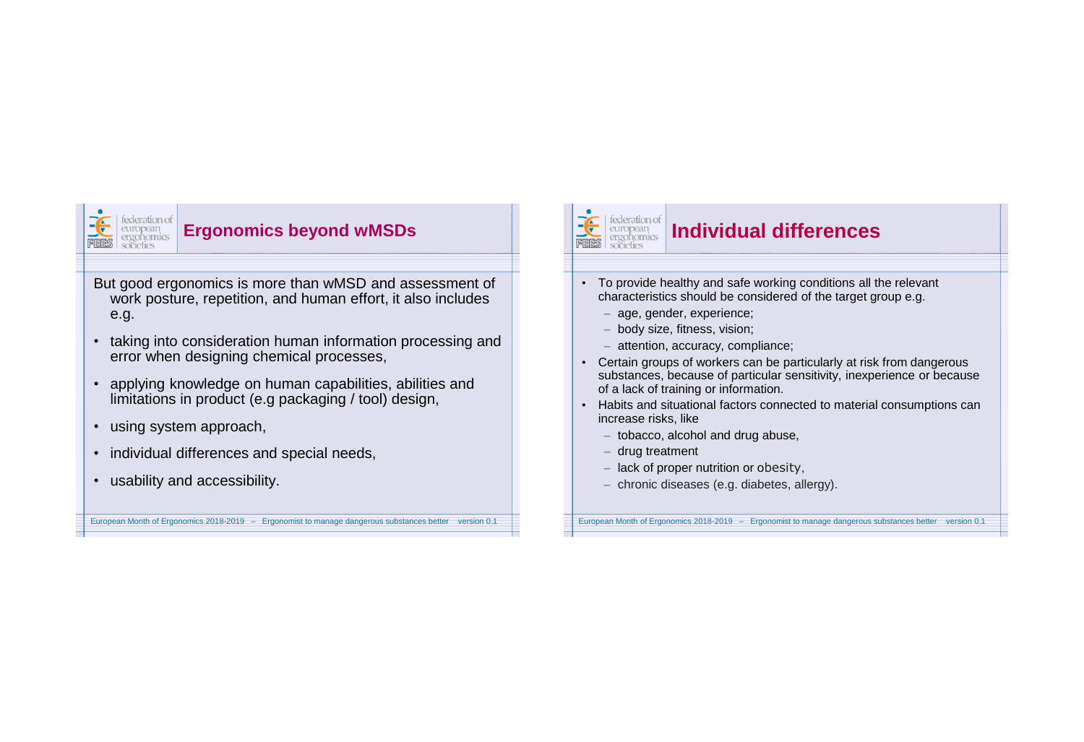

#### **Ergonomics beyond wMSDs**

But good ergonomics is more than wMSD and assessment of work posture, repetition, and human effort, it also includes e.g.

- taking into consideration human information processing and error when designing chemical processes,
- applying knowledge on human capabilities, abilities and limitations in product (e.g packaging / tool) design,

European Month of Ergonomics 2018-2019 – Ergonomist to manage dangerous substances better version 0.1

- using system approach,
- individual differences and special needs,
- usability and accessibility.

#### $\widetilde{\mathbf{f}}$ federation of european societies

## **Individual differences**

- To provide healthy and safe working conditions all the relevant characteristics should be considered of the target group e.g.
	- age, gender, experience;
	- body size, fitness, vision;
	- attention, accuracy, compliance;
- Certain groups of workers can be particularly at risk from dangerous substances, because of particular sensitivity, inexperience or because of a lack of training or information.
- Habits and situational factors connected to material consumptions can increase risks, like
	- tobacco, alcohol and drug abuse,
	- drug treatment
	- lack of proper nutrition or obesity,
	- chronic diseases (e.g. diabetes, allergy).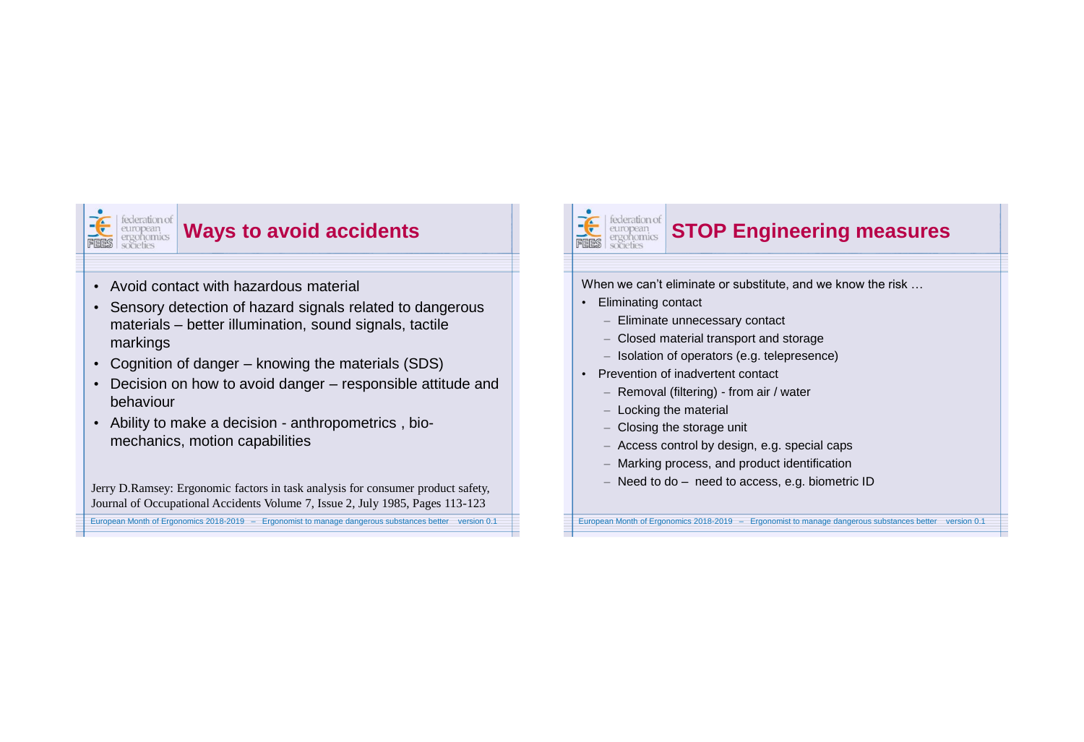

### **Ways to avoid accidents**

- Avoid contact with hazardous material
- Sensory detection of hazard signals related to dangerous materials – better illumination, sound signals, tactile markings
- Cognition of danger knowing the materials (SDS)
- Decision on how to avoid danger responsible attitude and behaviour
- Ability to make a decision anthropometrics , biomechanics, motion capabilities

European Month of Ergonomics 2018-2019 – Ergonomist to manage dangerous substances better version 0.1 Jerry D.Ramsey: Ergonomic factors in task analysis for consumer product safety, Journal of Occupational Accidents Volume 7, Issue 2, July 1985, Pages 113-123

#### federation of **STOP Engineering measures** european<br>ergonomics

When we can't eliminate or substitute, and we know the risk …

• Eliminating contact

 $\frac{1}{\sqrt{2}}$ 

- Eliminate unnecessary contact
- Closed material transport and storage
- Isolation of operators (e.g. telepresence)
- Prevention of inadvertent contact
	- Removal (filtering) from air / water
	- Locking the material
	- Closing the storage unit
	- Access control by design, e.g. special caps
	- Marking process, and product identification
	- Need to do need to access, e.g. biometric ID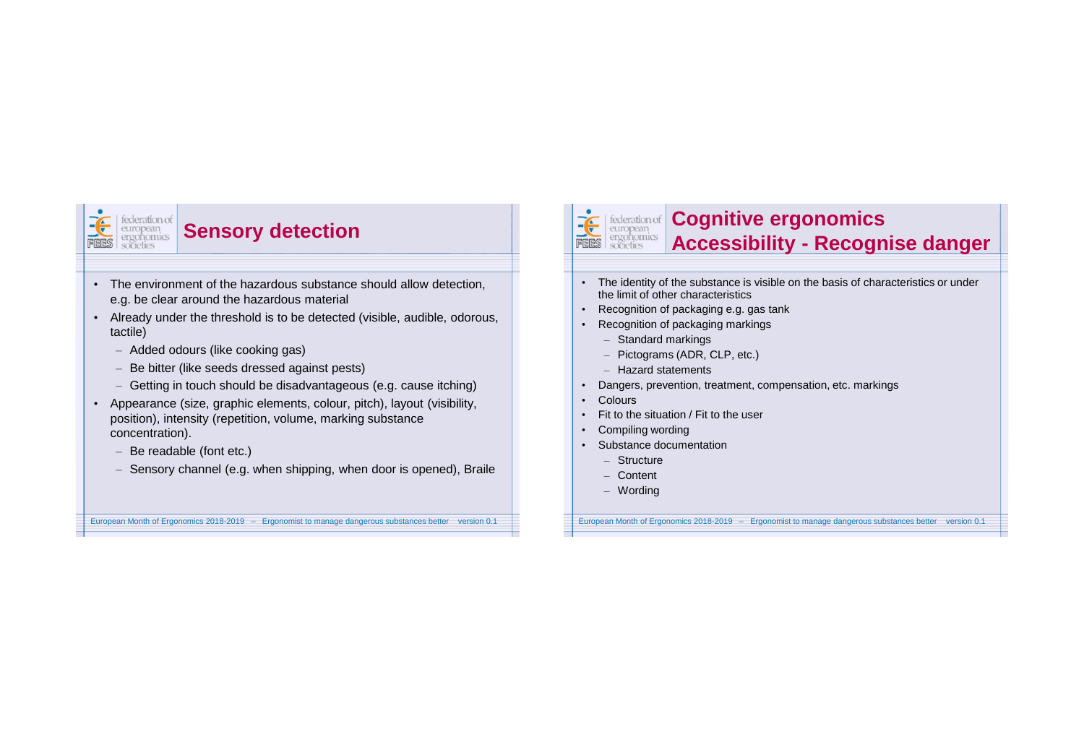

## **Sensory detection**

- The environment of the hazardous substance should allow detection, e.g. be clear around the hazardous material
- Already under the threshold is to be detected (visible, audible, odorous, tactile)
	- Added odours (like cooking gas)
	- Be bitter (like seeds dressed against pests)
	- Getting in touch should be disadvantageous (e.g. cause itching)
- Appearance (size, graphic elements, colour, pitch), layout (visibility, position), intensity (repetition, volume, marking substance concentration).
	- Be readable (font etc.)
	- Sensory channel (e.g. when shipping, when door is opened), Braile

European Month of Ergonomics 2018-2019 – Ergonomist to manage dangerous substances better version 0.1

### FEES societies

# **Cognitive ergonomics Accessibility - Recognise danger**

- The identity of the substance is visible on the basis of characteristics or under the limit of other characteristics
- Recognition of packaging e.g. gas tank
- Recognition of packaging markings
	- Standard markings
	- Pictograms (ADR, CLP, etc.)
	- Hazard statements
- Dangers, prevention, treatment, compensation, etc. markings
- Colours
- Fit to the situation / Fit to the user
- Compiling wording
- Substance documentation
	- Structure
	- Content
	- Wording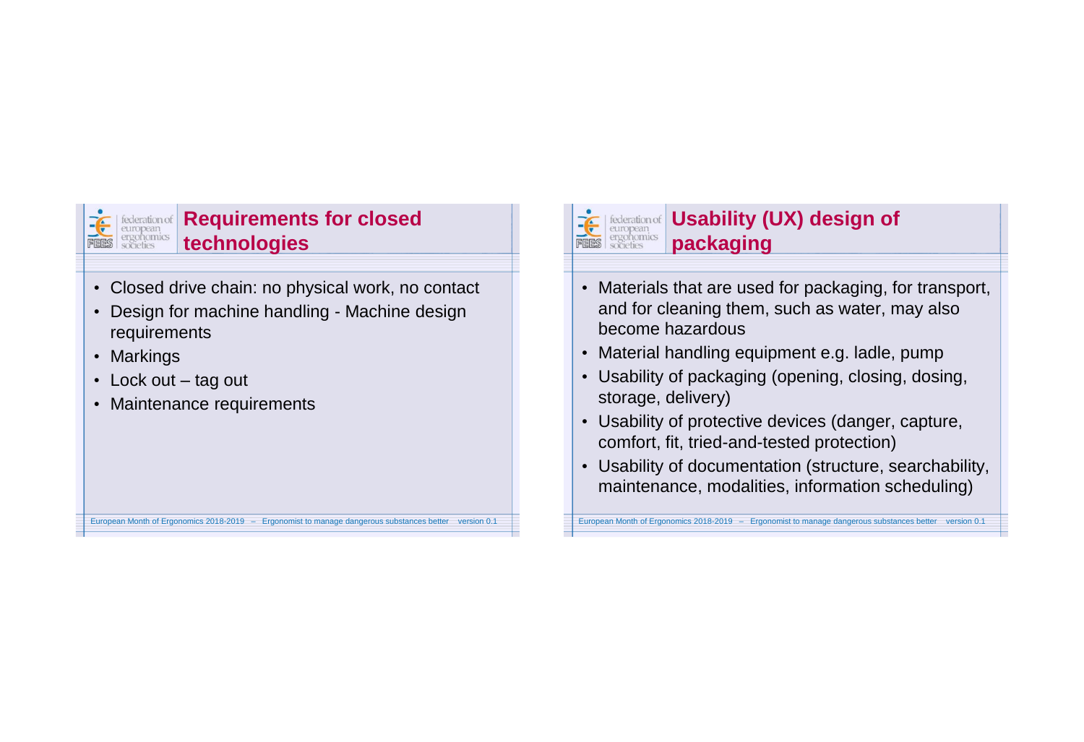

### **Requirements for closed technologies**

- Closed drive chain: no physical work, no contact
- Design for machine handling Machine design requirements

European Month of Ergonomics 2018-2019 – Ergonomist to manage dangerous substances better version 0.1

- Markings
- Lock out tag out
- Maintenance requirements



# **Usability (UX) design of <b>Usability** (UX) design of **packaging**

- Materials that are used for packaging, for transport, and for cleaning them, such as water, may also become hazardous
- Material handling equipment e.g. ladle, pump
- Usability of packaging (opening, closing, dosing, storage, delivery)
- Usability of protective devices (danger, capture, comfort, fit, tried-and-tested protection)
- Usability of documentation (structure, searchability, maintenance, modalities, information scheduling)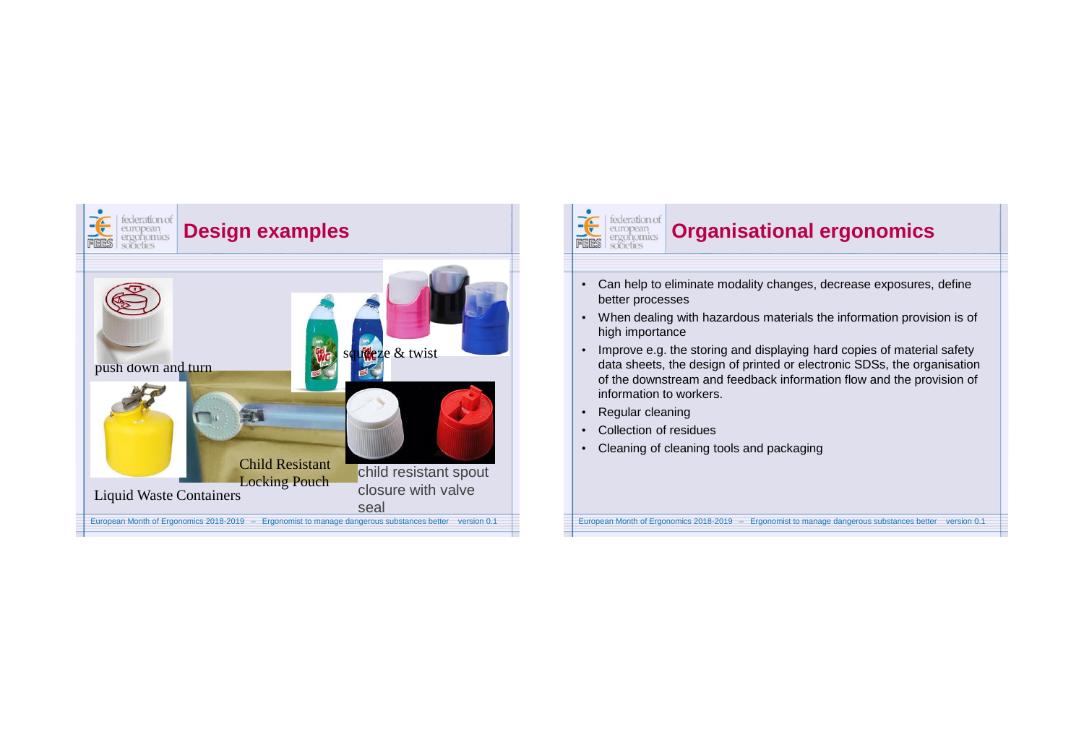

#### FEES federation of european<br>ergonomics<br>societies **Organisational ergonomics**  • Can help to eliminate modality changes, decrease exposures, define better processes • When dealing with hazardous materials the information provision is of high importance • Improve e.g. the storing and displaying hard copies of material safety

- data sheets, the design of printed or electronic SDSs, the organisation of the downstream and feedback information flow and the provision of information to workers.
- Regular cleaning
- Collection of residues
- Cleaning of cleaning tools and packaging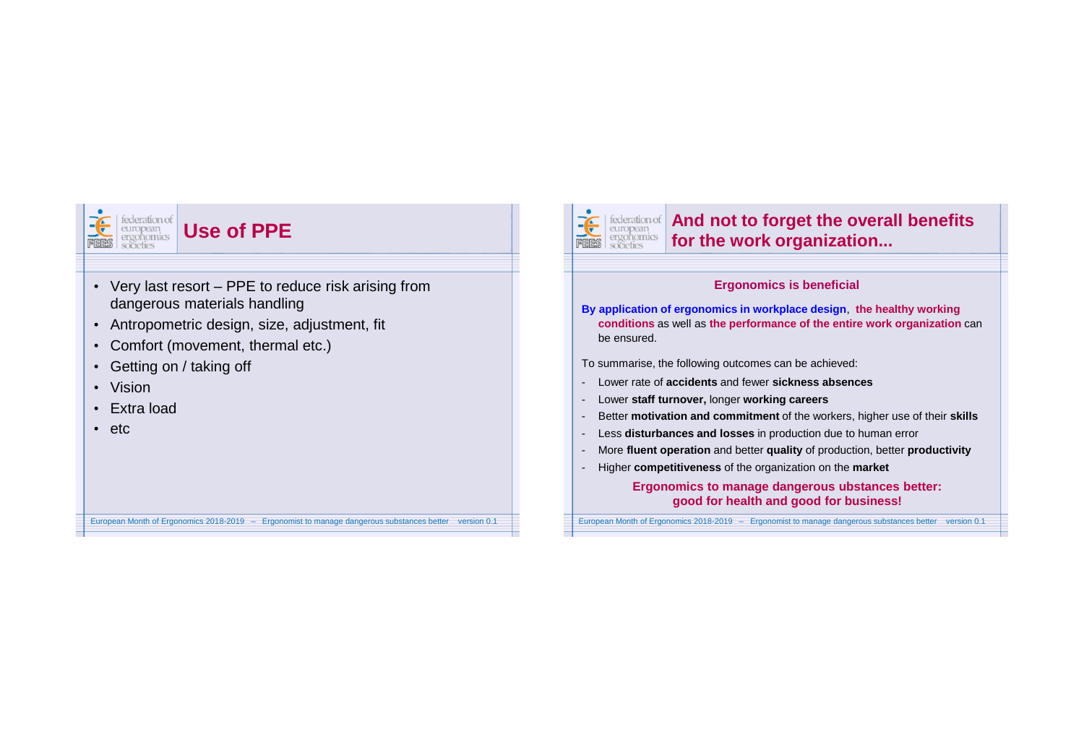

## **Use of PPE**

• Very last resort – PPE to reduce risk arising from dangerous materials handling

European Month of Ergonomics 2018-2019 – Ergonomist to manage dangerous substances better version 0.1

- Antropometric design, size, adjustment, fit
- Comfort (movement, thermal etc.)
- Getting on / taking off
- Vision
- Extra load
- etc

#### FEES<sup>.</sup> **And not to forget the overall benefits** ergonomics **for the work organization...** societies **Ergonomics is beneficial By application of ergonomics in workplace design**, **the healthy working conditions** as well as **the performance of the entire work organization** can be ensured. To summarise, the following outcomes can be achieved: - Lower rate of **accidents** and fewer **sickness absences** - Lower **staff turnover,** longer **working careers** - Better **motivation and commitment** of the workers, higher use of their **skills** - Less **disturbances and losses** in production due to human error - More **fluent operation** and better **quality** of production, better **productivity** - Higher **competitiveness** of the organization on the **marketErgonomics to manage dangerous ubstances better: good for health and good for business!**  European Month of Ergonomics 2018-2019 – Ergonomist to manage dangerous substances better version 0.1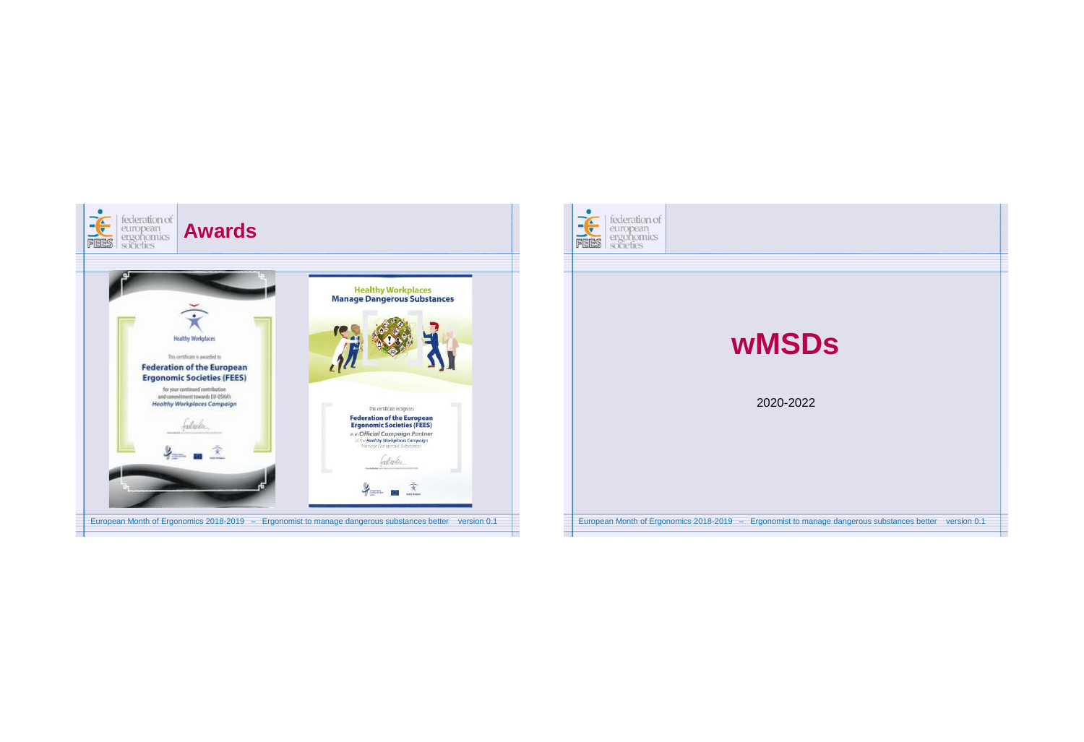